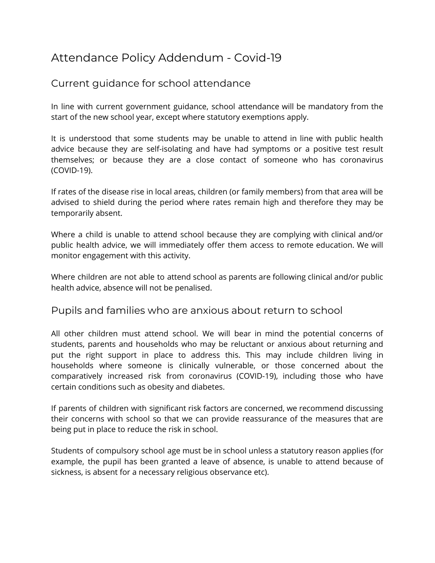## Attendance Policy Addendum - Covid-19

## Current guidance for school attendance

In line with current government guidance, school attendance will be mandatory from the start of the new school year, except where statutory exemptions apply.

It is understood that some students may be unable to attend in line with public health advice because they are self-isolating and have had symptoms or a positive test result themselves; or because they are a close contact of someone who has coronavirus (COVID-19).

If rates of the disease rise in local areas, children (or family members) from that area will be advised to shield during the period where rates remain high and therefore they may be temporarily absent.

Where a child is unable to attend school because they are complying with clinical and/or public health advice, we will immediately offer them access to remote education. We will monitor engagement with this activity.

Where children are not able to attend school as parents are following clinical and/or public health advice, absence will not be penalised.

## Pupils and families who are anxious about return to school

All other children must attend school. We will bear in mind the potential concerns of students, parents and households who may be reluctant or anxious about returning and put the right support in place to address this. This may include children living in households where someone is clinically vulnerable, or those concerned about the comparatively increased risk from coronavirus (COVID-19), including those who have certain conditions such as obesity and diabetes.

If parents of children with significant risk factors are concerned, we recommend discussing their concerns with school so that we can provide reassurance of the measures that are being put in place to reduce the risk in school.

Students of compulsory school age must be in school unless a statutory reason applies (for example, the pupil has been granted a leave of absence, is unable to attend because of sickness, is absent for a necessary religious observance etc).